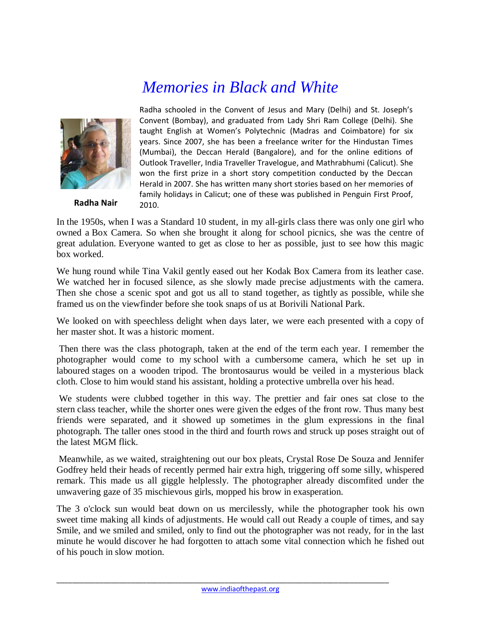## *Memories in Black and White*



**Radha Nair**

Radha schooled in the Convent of Jesus and Mary (Delhi) and St. Joseph's Convent (Bombay), and graduated from Lady Shri Ram College (Delhi). She taught English at Women's Polytechnic (Madras and Coimbatore) for six years. Since 2007, she has been a freelance writer for the Hindustan Times (Mumbai), the Deccan Herald (Bangalore), and for the online editions of Outlook Traveller, India Traveller Travelogue, and Mathrabhumi (Calicut). She won the first prize in a short story competition conducted by the Deccan Herald in 2007. She has written many short stories based on her memories of family holidays in Calicut; one of these was published in Penguin First Proof, 2010.

In the 1950s, when I was a Standard 10 student, in my all-girls class there was only one girl who owned a Box Camera. So when she brought it along for school picnics, she was the centre of great adulation. Everyone wanted to get as close to her as possible, just to see how this magic box worked.

We hung round while Tina Vakil gently eased out her Kodak Box Camera from its leather case. We watched her in focused silence, as she slowly made precise adjustments with the camera. Then she chose a scenic spot and got us all to stand together, as tightly as possible, while she framed us on the viewfinder before she took snaps of us at Borivili National Park.

We looked on with speechless delight when days later, we were each presented with a copy of her master shot. It was a historic moment.

Then there was the class photograph, taken at the end of the term each year. I remember the photographer would come to my school with a cumbersome camera, which he set up in laboured stages on a wooden tripod. The brontosaurus would be veiled in a mysterious black cloth. Close to him would stand his assistant, holding a protective umbrella over his head.

We students were clubbed together in this way. The prettier and fair ones sat close to the stern class teacher, while the shorter ones were given the edges of the front row. Thus many best friends were separated, and it showed up sometimes in the glum expressions in the final photograph. The taller ones stood in the third and fourth rows and struck up poses straight out of the latest MGM flick.

Meanwhile, as we waited, straightening out our box pleats, Crystal Rose De Souza and Jennifer Godfrey held their heads of recently permed hair extra high, triggering off some silly, whispered remark. This made us all giggle helplessly. The photographer already discomfited under the unwavering gaze of 35 mischievous girls, mopped his brow in exasperation.

The 3 o'clock sun would beat down on us mercilessly, while the photographer took his own sweet time making all kinds of adjustments. He would call out Ready a couple of times, and say Smile, and we smiled and smiled, only to find out the photographer was not ready, for in the last minute he would discover he had forgotten to attach some vital connection which he fished out of his pouch in slow motion.

\_\_\_\_\_\_\_\_\_\_\_\_\_\_\_\_\_\_\_\_\_\_\_\_\_\_\_\_\_\_\_\_\_\_\_\_\_\_\_\_\_\_\_\_\_\_\_\_\_\_\_\_\_\_\_\_\_\_\_\_\_\_\_\_\_\_\_\_\_\_\_\_\_\_\_\_\_\_\_\_\_\_\_\_\_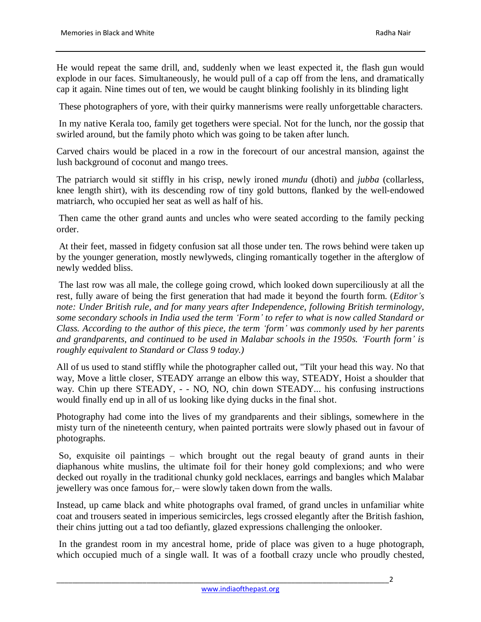He would repeat the same drill, and, suddenly when we least expected it, the flash gun would explode in our faces. Simultaneously, he would pull of a cap off from the lens, and dramatically cap it again. Nine times out of ten, we would be caught blinking foolishly in its blinding light

These photographers of yore, with their quirky mannerisms were really unforgettable characters.

In my native Kerala too, family get togethers were special. Not for the lunch, nor the gossip that swirled around, but the family photo which was going to be taken after lunch.

Carved chairs would be placed in a row in the forecourt of our ancestral mansion, against the lush background of coconut and mango trees.

The patriarch would sit stiffly in his crisp, newly ironed *mundu* (dhoti) and *jubba* (collarless, knee length shirt), with its descending row of tiny gold buttons, flanked by the well-endowed matriarch, who occupied her seat as well as half of his.

Then came the other grand aunts and uncles who were seated according to the family pecking order.

At their feet, massed in fidgety confusion sat all those under ten. The rows behind were taken up by the younger generation, mostly newlyweds, clinging romantically together in the afterglow of newly wedded bliss.

The last row was all male, the college going crowd, which looked down superciliously at all the rest, fully aware of being the first generation that had made it beyond the fourth form. (*Editor's note: Under British rule, and for many years after Independence, following British terminology, some secondary schools in India used the term 'Form' to refer to what is now called Standard or Class. According to the author of this piece, the term 'form' was commonly used by her parents and grandparents, and continued to be used in Malabar schools in the 1950s. 'Fourth form' is roughly equivalent to Standard or Class 9 today.)*

All of us used to stand stiffly while the photographer called out, "Tilt your head this way. No that way, Move a little closer, STEADY arrange an elbow this way, STEADY, Hoist a shoulder that way. Chin up there STEADY, - - NO, NO, chin down STEADY... his confusing instructions would finally end up in all of us looking like dying ducks in the final shot.

Photography had come into the lives of my grandparents and their siblings, somewhere in the misty turn of the nineteenth century, when painted portraits were slowly phased out in favour of photographs.

So, exquisite oil paintings – which brought out the regal beauty of grand aunts in their diaphanous white muslins, the ultimate foil for their honey gold complexions; and who were decked out royally in the traditional chunky gold necklaces, earrings and bangles which Malabar jewellery was once famous for,– were slowly taken down from the walls.

Instead, up came black and white photographs oval framed, of grand uncles in unfamiliar white coat and trousers seated in imperious semicircles, legs crossed elegantly after the British fashion, their chins jutting out a tad too defiantly, glazed expressions challenging the onlooker.

In the grandest room in my ancestral home, pride of place was given to a huge photograph, which occupied much of a single wall. It was of a football crazy uncle who proudly chested,

\_\_\_\_\_\_\_\_\_\_\_\_\_\_\_\_\_\_\_\_\_\_\_\_\_\_\_\_\_\_\_\_\_\_\_\_\_\_\_\_\_\_\_\_\_\_\_\_\_\_\_\_\_\_\_\_\_\_\_\_\_\_\_\_\_\_\_\_\_\_\_\_\_\_\_\_\_\_\_\_\_\_\_\_\_2